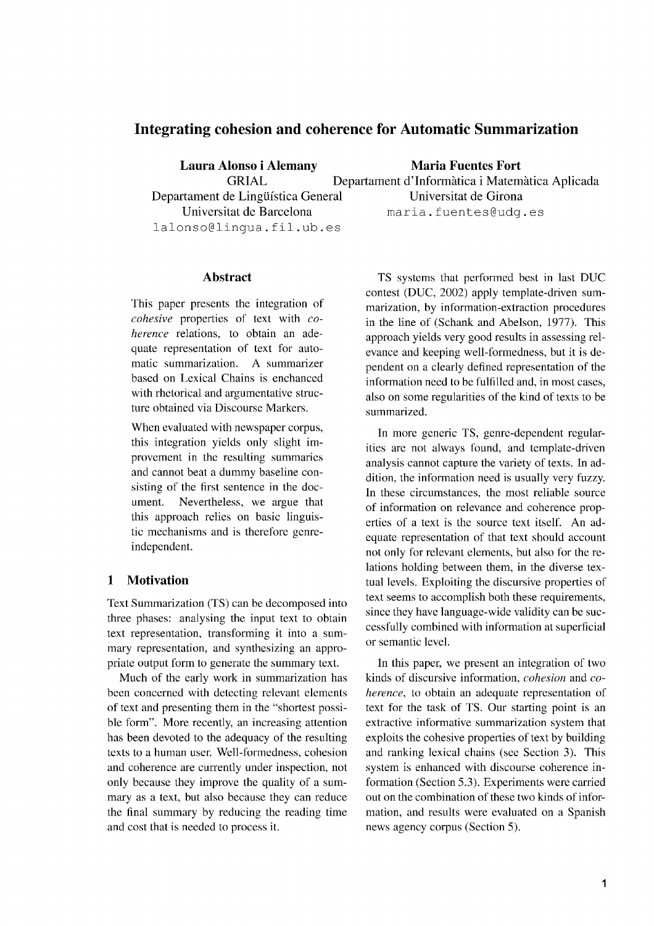# **Integrating cohesion and coherence for Automatic Summarization**

lalonso@lingua.fil.ub.es

**Laura Alonso i Alemany Maria Fuentes Fort** GRIAL Departament d'Informatica i Matematica Aplicada Departament de Lingüística General Universitat de Girona Universitat de Barcelona maria.fuentes@udg.es

## **Abstract**

This paper presents the integration of *cohesive* properties of text with *coherence* relations, to obtain an adequate representation of text for automatic summarization. A summarizer based on Lexical Chains is enchanced with rhetorical and argumentative structure obtained via Discourse Markers.

When evaluated with newspaper corpus, this integration yields only slight improvement in the resulting summaries and cannot beat a dummy baseline consisting of the first sentence in the document. Nevertheless, we argue that this approach relies on basic linguistic mechanisms and is therefore genreindependent.

# **1 Motivation**

Text Summarization (TS) can be decomposed into three phases: analysing the input text to obtain text representation, transforming it into a summary representation, and synthesizing an appropriate output form to generate the summary text.

Much of the early work in summarization has been concerned with detecting relevant elements of text and presenting them in the "shortest possible form". More recently, an increasing attention has been devoted to the adequacy of the resulting texts to a human user. Well-formedness, cohesion and coherence are currently under inspection, not only because they improve the quality of a summary as a text, but also because they can reduce the final summary by reducing the reading time and cost that is needed to process it.

TS systems that performed best in last DUC contest (DUC, 2002) apply template-driven summarization, by information-extraction procedures in the line of (Schank and Abelson, 1977). This approach yields very good results in assessing relevance and keeping well-formedness, but it is dependent on a clearly defined representation of the information need to be fulfilled and, in most cases, also on some regularities of the kind of texts to be summarized.

In more generic TS, genre-dependent regularities are not always found, and template-driven analysis cannot capture the variety of texts. In addition, the information need is usually very fuzzy. In these circumstances, the most reliable source of information on relevance and coherence properties of a text is the source text itself. An adequate representation of that text should account not only for relevant elements, but also for the relations holding between them, in the diverse textual levels. Exploiting the discursive properties of text seems to accomplish both these requirements, since they have language-wide validity can be successfully combined with information at superficial or semantic level.

In this paper, we present an integration of two kinds of discursive information, *cohesion* and *coherence,* to obtain an adequate representation of text for the task of TS. Our starting point is an extractive informative summarization system that exploits the cohesive properties of text by building and ranking lexical chains (see Section 3). This system is enhanced with discourse coherence information (Section 5.3). Experiments were carried out on the combination of these two kinds of information, and results were evaluated on a Spanish news agency corpus (Section 5).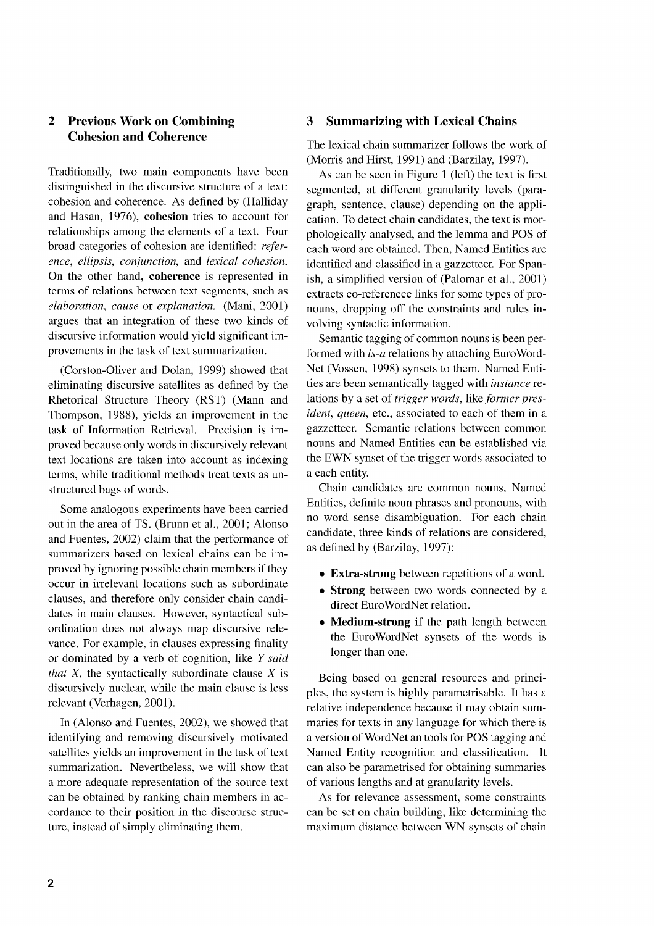# Cohesion and Coherence

Traditionally, two main components have been distinguished in the discursive structure of a text: cohesion and coherence. As defined by (Halliday and Hasan, 1976), cohesion tries to account for relationships among the elements of a text. Four broad categories of cohesion are identified: *reference, ellipsis, conjunction,* and *lexical cohesion.* On the other hand, coherence is represented in terms of relations between text segments, such as *elaboration, cause* or *explanation.* (Mani, 2001) argues that an integration of these two kinds of discursive information would yield significant improvements in the task of text summarization.

(Corston-Oliver and Dolan, 1999) showed that eliminating discursive satellites as defined by the Rhetorical Structure Theory (RST) (Mann and Thompson, 1988), yields an improvement in the task of Information Retrieval. Precision is improved because only words in discursively relevant text locations are taken into account as indexing terms, while traditional methods treat texts as unstructured bags of words.

Some analogous experiments have been carried out in the area of TS. (Brunn et al., 2001; Alonso and Fuentes, 2002) claim that the performance of summarizers based on lexical chains can be improved by ignoring possible chain members if they occur in irrelevant locations such as subordinate clauses, and therefore only consider chain candidates in main clauses. However, syntactical subordination does not always map discursive relevance. For example, in clauses expressing finality or dominated by a verb of cognition, like Y *said that X,* the syntactically subordinate clause *X* is discursively nuclear, while the main clause is less relevant (Verhagen, 2001).

In (Alonso and Fuentes, 2002), we showed that identifying and removing discursively motivated satellites yields an improvement in the task of text summarization. Nevertheless, we will show that a more adequate representation of the source text can be obtained by ranking chain members in accordance to their position in the discourse structure, instead of simply eliminating them.

## 2 Previous Work on Combining 3 Summarizing with Lexical Chains

The lexical chain summarizer follows the work of (Morris and Hirst, 1991) and (Barzilay, 1997).

As can be seen in Figure 1 (left) the text is first segmented, at different granularity levels (paragraph, sentence, clause) depending on the application. To detect chain candidates, the text is morphologically analysed, and the lemma and POS of each word are obtained. Then, Named Entities are identified and classified in a gazzetteer. For Spanish, a simplified version of (Palomar et al., 2001) extracts co-referenece links for some types of pronouns, dropping off the constraints and rules involving syntactic information.

Semantic tagging of common nouns is been performed with *is-a* relations by attaching Euro Word-Net (Vossen, 1998) synsets to them. Named Entities are been semantically tagged with *instance* relations by a set of *trigger words,* like *former president, queen,* etc., associated to each of them in a gazzetteer. Semantic relations between common nouns and Named Entities can be established via the EWN synset of the trigger words associated to a each entity.

Chain candidates are common nouns, Named Entities, definite noun phrases and pronouns, with no word sense disambiguation. For each chain candidate, three kinds of relations are considered, as defined by (Barzilay, 1997):

- Extra-strong between repetitions of a word.
- Strong between two words connected by a direct EuroWordNet relation.
- Medium-strong if the path length between the EuroWordNet synsets of the words is longer than one.

Being based on general resources and principles, the system is highly parametrisable. It has a relative independence because it may obtain summaries for texts in any language for which there is a version of WordNet an tools for POS tagging and Named Entity recognition and classification. It can also be parametrised for obtaining summaries of various lengths and at granularity levels.

As for relevance assessment, some constraints can be set on chain building, like determining the maximum distance between WN synsets of chain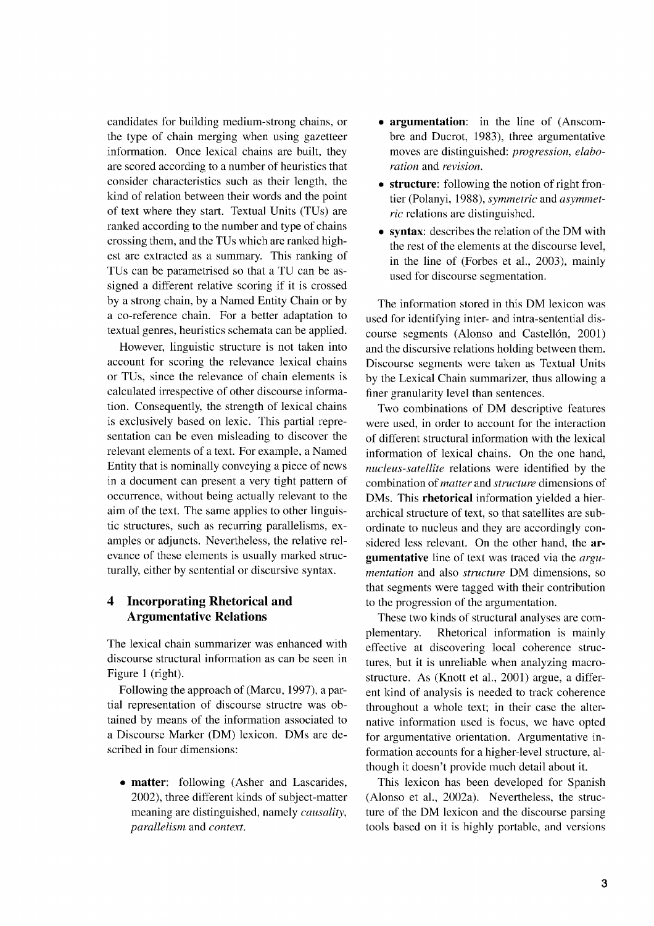candidates for building medium-strong chains, or the type of chain merging when using gazetteer information. Once lexical chains are built, they are scored according to a number of heuristics that consider characteristics such as their length, the kind of relation between their words and the point of text where they start. Textual Units (TUs) are ranked according to the number and type of chains crossing them, and the TUs which are ranked highest are extracted as a summary. This ranking of TUs can be parametrised so that a TU can be assigned a different relative scoring if it is crossed by a strong chain, by a Named Entity Chain or by a co-reference chain. For a better adaptation to textual genres, heuristics schemata can be applied.

However, linguistic structure is not taken into account for scoring the relevance lexical chains or TUs, since the relevance of chain elements is calculated irrespective of other discourse information. Consequently, the strength of lexical chains is exclusively based on lexic. This partial representation can be even misleading to discover the relevant elements of a text. For example, a Named Entity that is nominally conveying a piece of news in a document can present a very tight pattern of occurrence, without being actually relevant to the aim of the text. The same applies to other linguistic structures, such as recurring parallelisms, examples or adjuncts. Nevertheless, the relative relevance of these elements is usually marked structurally, either by sentential or discursive syntax.

# **4 Incorporating Rhetorical and Argumentative Relations**

The lexical chain summarizer was enhanced with discourse structural information as can be seen in Figure 1 (right).

Following the approach of (Marcu, 1997), a partial representation of discourse structre was obtained by means of the information associated to a Discourse Marker (DM) lexicon. DMs are described in four dimensions:

**• matter:** following (Asher and Lascarides, 2002), three different kinds of subject-matter meaning are distinguished, namely *causality, parallelism* and *context.*

- **• argumentation:** in the line of (Anscombre and Ducrot, 1983), three argumentative moves are distinguished: *progression, elaboration* and *revision.*
- **• structure:** following the notion of right frontier (Polanyi, 1988), *symmetric* and *asymmetric* relations are distinguished.
- **• syntax:** describes the relation of the DM with the rest of the elements at the discourse level, in the line of (Forbes et al., 2003), mainly used for discourse segmentation.

The information stored in this DM lexicon was used for identifying inter- and intra-sentential discourse segments (Alonso and Castellón, 2001) and the discursive relations holding between them. Discourse segments were taken as Textual Units by the Lexical Chain summarizer, thus allowing a finer granularity level than sentences.

Two combinations of DM descriptive features were used, in order to account for the interaction of different structural information with the lexical information of lexical chains. On the one hand, *nucleus-satellite* relations were identified by the combination of *matter* and *structure* dimensions of DMs. This **rhetorical** information yielded a hierarchical structure of text, so that satellites are subordinate to nucleus and they are accordingly considered less relevant. On the other hand, the **argumentative** line of text was traced via the *argumentation* and also *structure* DM dimensions, so that segments were tagged with their contribution to the progression of the argumentation.

These two kinds of structural analyses are complementary. Rhetorical information is mainly effective at discovering local coherence structures, but it is unreliable when analyzing macrostructure. As (Knott et al., 2001) argue, a different kind of analysis is needed to track coherence throughout a whole text; in their case the alternative information used is focus, we have opted for argumentative orientation. Argumentative information accounts for a higher-level structure, although it doesn't provide much detail about it.

This lexicon has been developed for Spanish (Alonso et al., 2002a). Nevertheless, the structure of the DM lexicon and the discourse parsing tools based on it is highly portable, and versions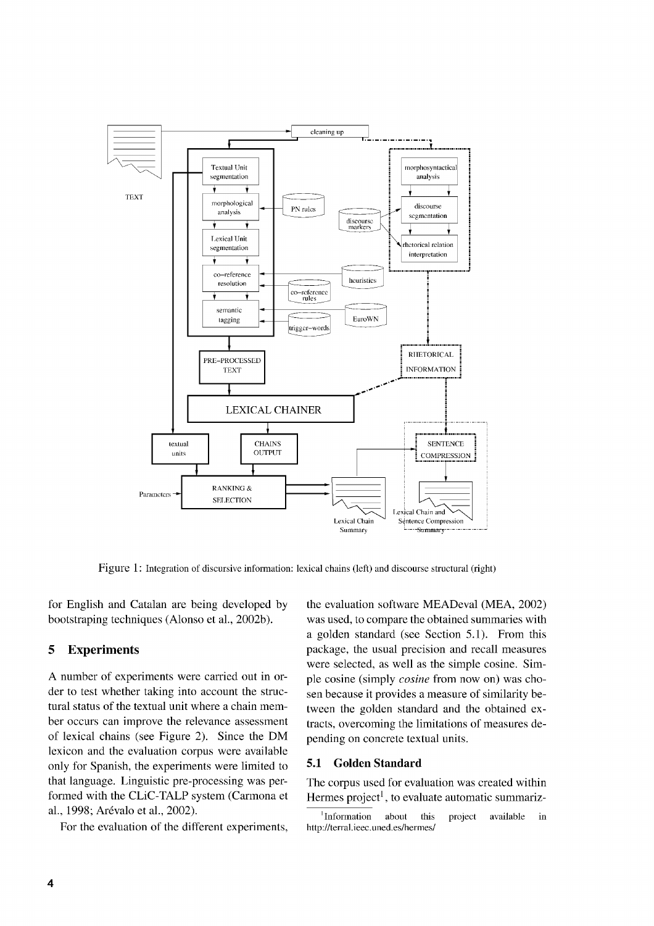

Figure 1: Integration of discursive information: lexical chains (left) and discourse structural (right)

for English and Catalan are being developed by bootstraping techniques (Alonso et al., 2002b).

# 5 Experiments

A number of experiments were carried out in order to test whether taking into account the structural status of the textual unit where a chain member occurs can improve the relevance assessment of lexical chains (see Figure 2). Since the DM lexicon and the evaluation corpus were available only for Spanish, the experiments were limited to that language. Linguistic pre-processing was performed with the CLiC-TALP system (Carmona et al., 1998; Arévalo et al., 2002).

For the evaluation of the different experiments,

the evaluation software MEADeval (MEA, 2002) was used, to compare the obtained summaries with a golden standard (see Section 5.1). From this package, the usual precision and recall measures were selected, as well as the simple cosine. Simple cosine (simply *cosine* from now on) was chosen because it provides a measure of similarity between the golden standard and the obtained extracts, overcoming the limitations of measures depending on concrete textual units.

#### 5.1 Golden Standard

The corpus used for evaluation was created within Hermes project<sup>1</sup>, to evaluate automatic summariz-

<sup>&#</sup>x27;Information about this project available in http://terral.ieec.uned.es/hermes/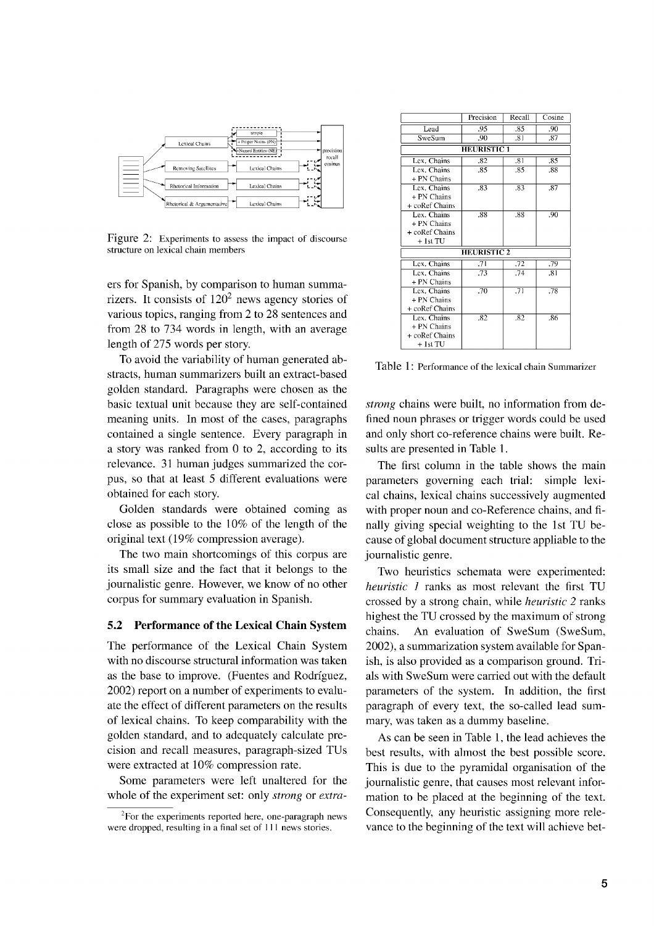

Figure 2: Experiments to assess the impact of discourse structure on lexical chain members

ers for Spanish, by comparison to human summarizers. It consists of  $120<sup>2</sup>$  news agency stories of various topics, ranging from 2 to 28 sentences and from 28 to 734 words in length, with an average length of 275 words per story.

To avoid the variability of human generated abstracts, human summarizers built an extract-based golden standard. Paragraphs were chosen as the basic textual unit because they are self-contained meaning units. In most of the cases, paragraphs contained a single sentence. Every paragraph in a story was ranked from 0 to 2, according to its relevance. 31 human judges summarized the corpus, so that at least 5 different evaluations were obtained for each story.

Golden standards were obtained coming as close as possible to the 10% of the length of the original text (19% compression average).

The two main shortcomings of this corpus are its small size and the fact that it belongs to the journalistic genre. However, we know of no other corpus for summary evaluation in Spanish.

# **5.2 Performance of the Lexical Chain System**

The performance of the Lexical Chain System with no discourse structural information was taken as the base to improve. (Fuentes and Rodriguez, 2002) report on a number of experiments to evaluate the effect of different parameters on the results of lexical chains. To keep comparability with the golden standard, and to adequately calculate precision and recall measures, paragraph-sized TUs were extracted at 10% compression rate.

Some parameters were left unaltered for the whole of the experiment set: only *strong* or *extra-*

|                    | Precision | Recall           | Cosine |  |  |
|--------------------|-----------|------------------|--------|--|--|
| Lead               | .95       | .85              | .90    |  |  |
| SweSum             | .90       | .81              | .87    |  |  |
| <b>HEURISTIC 1</b> |           |                  |        |  |  |
| Lex. Chains        | .82       | -81              | .85    |  |  |
| Lex. Chains        | .85       | .85              | .88    |  |  |
| + PN Chains        |           |                  |        |  |  |
| Lex. Chains        | .83       | .83              | .87    |  |  |
| + PN Chains        |           |                  |        |  |  |
| + coRef Chains     |           |                  |        |  |  |
| Lex. Chains        | .88       | .88              | .90    |  |  |
| + PN Chains        |           |                  |        |  |  |
| + coRef Chains     |           |                  |        |  |  |
| + 1st TU           |           |                  |        |  |  |
| <b>HEURISTIC 2</b> |           |                  |        |  |  |
| Lex. Chains        | .71       | .72              | .79    |  |  |
| Lex. Chains        | .73       | .74              | .81    |  |  |
| + PN Chains        |           |                  |        |  |  |
| Lex. Chains        | .70       | $\overline{.71}$ | .78    |  |  |
| + PN Chains        |           |                  |        |  |  |
| + coRef Chains     |           |                  |        |  |  |
| Lex. Chains        | .82       | .82              | .86    |  |  |
| + PN Chains        |           |                  |        |  |  |
| + coRef Chains     |           |                  |        |  |  |
| $+1st$ TU          |           |                  |        |  |  |

Table 1: Performance of the lexical chain Summarizer

*strong* chains were built, no information from defined noun phrases or trigger words could be used and only short co-reference chains were built. Results are presented in Table I.

The first column in the table shows the main parameters governing each trial: simple lexical chains, lexical chains successively augmented with proper noun and co-Reference chains, and finally giving special weighting to the 1st TU because of global document structure appliable to the journalistic genre.

Two heuristics schemata were experimented: *heuristic 1* ranks as most relevant the first TU crossed by a strong chain, while *heuristic 2* ranks highest the TU crossed by the maximum of strong chains. An evaluation of SweSum (SweSum, 2002), a summarization system available for Spanish, is also provided as a comparison ground. Trials with SweSum were carried out with the default parameters of the system. In addition, the first paragraph of every text, the so-called lead summary, was taken as a dummy baseline.

As can be seen in Table 1, the lead achieves the best results, with almost the best possible score. This is due to the pyramidal organisation of the journalistic genre, that causes most relevant information to be placed at the beginning of the text. Consequently, any heuristic assigning more relevance to the beginning of the text will achieve bet-

 $2$ For the experiments reported here, one-paragraph news were dropped, resulting in a final set of Ill news stories.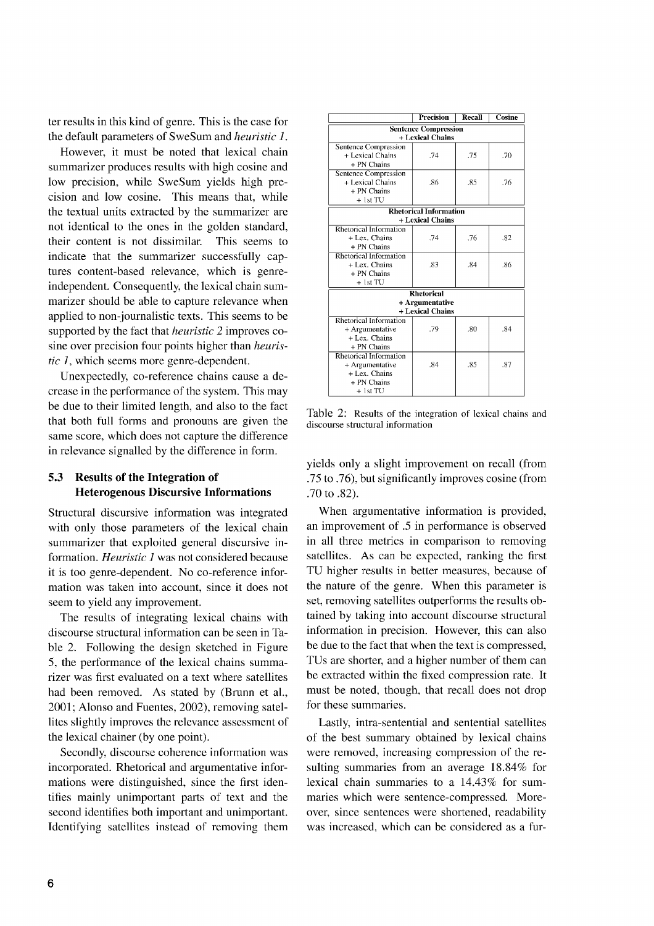ter results in this kind of genre. This is the case for the default parameters of SweSum and *heuristic 1.*

However, it must be noted that lexical chain summarizer produces results with high cosine and low precision, while SweSum yields high precision and low cosine. This means that, while the textual units extracted by the summarizer are not identical to the ones in the golden standard, their content is not dissimilar. This seems to indicate that the summarizer successfully captures content-based relevance, which is genreindependent. Consequently, the lexical chain summarizer should be able to capture relevance when applied to non-journalistic texts. This seems to be supported by the fact that *heuristic* 2 improves cosine over precision four points higher than *heuristic 1,* which seems more genre-dependent.

Unexpectedly, co-reference chains cause a decrease in the performance of the system. This may be due to their limited length, and also to the fact that both full forms and pronouns are given the same score, which does not capture the difference in relevance signalled by the difference in form.

# **5.3 Results of the Integration of Heterogenous Discursive Informations**

Structural discursive information was integrated with only those parameters of the lexical chain summarizer that exploited general discursive information. *Heuristic I* was not considered because it is too genre-dependent. No co-reference information was taken into account, since it does not seem to yield any improvement.

The results of integrating lexical chains with discourse structural information can be seen in Table 2. Following the design sketched in Figure 5, the performance of the lexical chains summarizer was first evaluated on a text where satellites had been removed. As stated by (Brunn et al., 2001; Alonso and Fuentes, 2002), removing satellites slightly improves the relevance assessment of the lexical chainer (by one point).

Secondly, discourse coherence information was incorporated. Rhetorical and argumentative informations were distinguished, since the first identifies mainly unimportant parts of text and the second identifies both important and unimportant. Identifying satellites instead of removing them

|                               | Precision        | Recall | Cosine |  |  |
|-------------------------------|------------------|--------|--------|--|--|
| <b>Sentence Compression</b>   |                  |        |        |  |  |
| + Lexical Chains              |                  |        |        |  |  |
| Sentence Compression          |                  |        |        |  |  |
| + Lexical Chains              | .74              | .75    | .70    |  |  |
| + PN Chains                   |                  |        |        |  |  |
| <b>Sentence Compression</b>   |                  |        |        |  |  |
| + Lexical Chains              | .86              | .85    | .76    |  |  |
| + PN Chains                   |                  |        |        |  |  |
| $+1stTU$                      |                  |        |        |  |  |
| <b>Rhetorical Information</b> |                  |        |        |  |  |
| + Lexical Chains              |                  |        |        |  |  |
| Rhetorical Information        |                  |        |        |  |  |
| + Lex. Chains                 | .74              | .76    | .82    |  |  |
| + PN Chains                   |                  |        |        |  |  |
| Rhetorical Information        |                  |        |        |  |  |
| + Lex. Chains                 | .83              | .84    | -86    |  |  |
| + PN Chains                   |                  |        |        |  |  |
| $+1st$ TU                     |                  |        |        |  |  |
| <b>Rhetorical</b>             |                  |        |        |  |  |
| + Argumentative               |                  |        |        |  |  |
|                               | + Lexical Chains |        |        |  |  |
| Rhetorical Information        |                  |        |        |  |  |
| + Argumentative               | .79              | .80    | .84    |  |  |
| + Lex. Chains                 |                  |        |        |  |  |
| + PN Chains                   |                  |        |        |  |  |
| Rhetorical Information        |                  |        |        |  |  |
| + Argumentative               | .84              | .85    | .87    |  |  |
| + Lex. Chains                 |                  |        |        |  |  |
| + PN Chains                   |                  |        |        |  |  |
| $+$ 1st TU                    |                  |        |        |  |  |

Table 2: Results of the integration of lexical chains and discourse structural information

yields only a slight improvement on recall (from .75 to .76), but significantly improves cosine (from .70 to .82).

When argumentative information is provided, an improvement of .5 in performance is observed in all three metrics in comparison to removing satellites. As can be expected, ranking the first TU higher results in better measures, because of the nature of the genre. When this parameter is set, removing satellites outperforms the results obtained by taking into account discourse structural information in precision. However, this can also be due to the fact that when the text is compressed, TUs are shorter, and a higher number of them can be extracted within the fixed compression rate. It must be noted, though, that recall does not drop for these summaries.

Lastly, intra-sentential and sentential satellites of the best summary obtained by lexical chains were removed, increasing compression of the resulting summaries from an average 18.84% for lexical chain summaries to a 14.43% for summaries which were sentence-compressed. Moreover, since sentences were shortened, readability was increased, which can be considered as a fur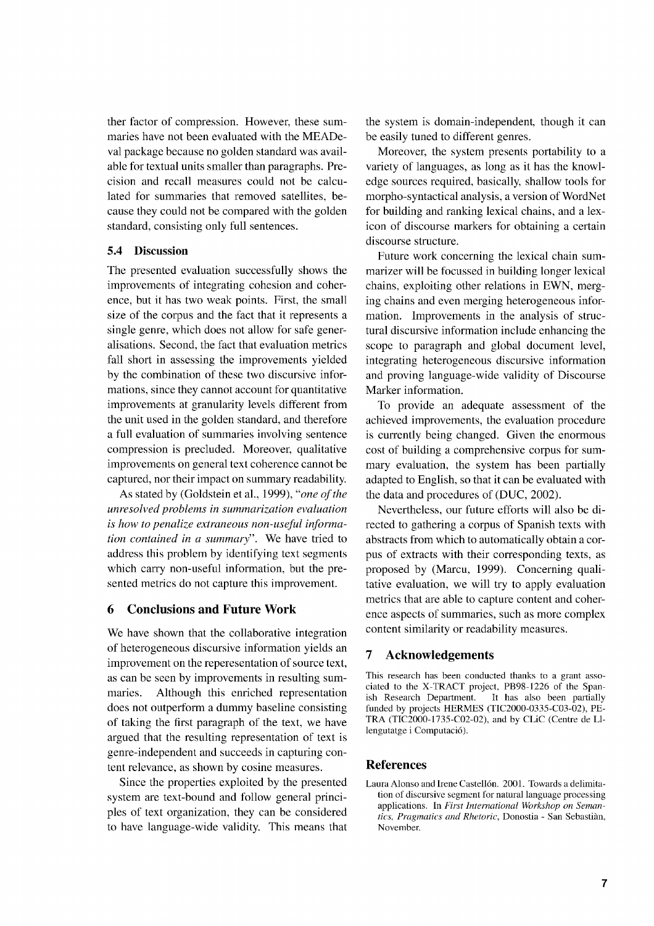ther factor of compression. However, these summaries have not been evaluated with the MEADeval package because no golden standard was available for textual units smaller than paragraphs. Precision and recall measures could not be calculated for summaries that removed satellites, because they could not be compared with the golden standard, consisting only full sentences.

### 5.4 Discussion

The presented evaluation successfully shows the improvements of integrating cohesion and coherence, but it has two weak points. First, the small size of the corpus and the fact that it represents a single genre, which does not allow for safe generalisations. Second, the fact that evaluation metrics fall short in assessing the improvements yielded by the combination of these two discursive informations, since they cannot account for quantitative improvements at granularity levels different from the unit used in the golden standard, and therefore a full evaluation of summaries involving sentence compression is precluded. Moreover, qualitative improvements on general text coherence cannot be captured, nor their impact on summary readability.

As stated by (Goldstein et al., 1999), *"one of the unresolved problems in summarization evaluation is how to penalize extraneous non-useful information contained in a summary".* We have tried to address this problem by identifying text segments which carry non-useful information, but the presented metrics do not capture this improvement.

# **6 Conclusions and Future Work**

We have shown that the collaborative integration of heterogeneous discursive information yields an improvement on the reperesentation of source text, as can be seen by improvements in resulting summaries. Although this enriched representation does not outperform a dummy baseline consisting of taking the first paragraph of the text, we have argued that the resulting representation of text is genre-independent and succeeds in capturing content relevance, as shown by cosine measures.

Since the properties exploited by the presented system are text-bound and follow general principles of text organization, they can be considered to have language-wide validity. This means that

the system is domain-independent, though it can be easily tuned to different genres.

Moreover, the system presents portability to a variety of languages, as long as it has the knowledge sources required, basically, shallow tools for morpho-syntactical analysis, a version of WordNet for building and ranking lexical chains, and a lexicon of discourse markers for obtaining a certain discourse structure.

Future work concerning the lexical chain summarizer will be focussed in building longer lexical chains, exploiting other relations in EWN, merging chains and even merging heterogeneous information. Improvements in the analysis of structural discursive information include enhancing the scope to paragraph and global document level, integrating heterogeneous discursive information and proving language-wide validity of Discourse Marker information.

To provide an adequate assessment of the achieved improvements, the evaluation procedure is currently being changed. Given the enormous cost of building a comprehensive corpus for summary evaluation, the system has been partially adapted to English, so that it can be evaluated with the data and procedures of (DUC, 2002).

Nevertheless, our future efforts will also be directed to gathering a corpus of Spanish texts with abstracts from which to automatically obtain a corpus of extracts with their corresponding texts, as proposed by (Marcu, 1999). Concerning qualitative evaluation, we will try to apply evaluation metrics that are able to capture content and coherence aspects of summaries, such as more complex content similarity or readability measures.

# **7 Acknowledgements**

This research has been conducted thanks to a grant associated to the X-TRACT project, PB98-1226 of the Spanish Research Department. It has also been partially funded by projects HERMES (TIC2000-0335-C03-02). PE-TRA (TIC2000-1735-0O2-02), and by CLiC (Centre de Lllengutatge i Computació).

#### **References**

Laura Alonso and Irene Castellón. 2001. Towards a delimitation of discursive segment for natural language processing applications. In *First International Workshop on Semantics, Pragmatics and Rhetoric,* Donostia - San Sebastian, November.